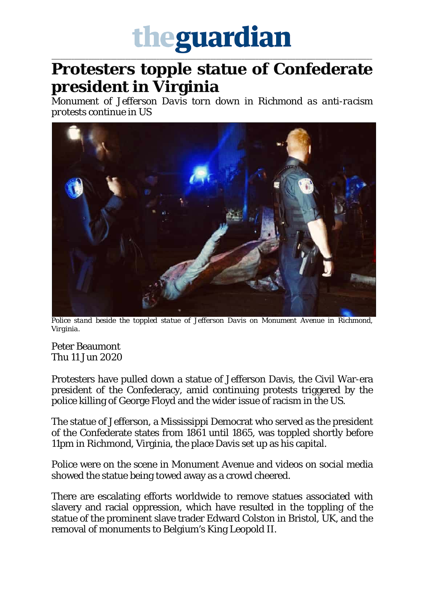## theguardian

## \_\_\_\_\_\_\_\_\_\_\_\_\_\_\_\_\_\_\_\_\_\_\_\_\_\_\_\_\_\_\_\_\_\_\_\_\_\_\_\_\_\_\_\_\_\_\_\_\_\_\_\_\_\_\_\_\_\_\_\_\_\_\_\_\_\_\_\_\_\_\_\_\_\_\_\_\_\_\_\_\_\_\_\_\_\_\_\_\_\_\_\_\_\_\_\_\_\_\_\_\_\_\_\_\_\_\_\_\_\_\_\_\_ **Protesters topple statue of Confederate president in Virginia**

*Monument of Jefferson Davis torn down in Richmond as anti-racism protests continue in US*



*Police stand beside the toppled statue of Jefferson Davis on Monument Avenue in Richmond, Virginia.*

Peter Beaumont Thu 11 Jun 2020

Protesters have pulled down a statue of Jefferson Davis, the Civil War-era president of the Confederacy, amid continuing protests triggered by the police killing of George Floyd and the wider issue of racism in the US.

The statue of Jefferson, a Mississippi Democrat who served as the president of the Confederate states from 1861 until 1865, was toppled shortly before 11pm in Richmond, Virginia, the place Davis set up as his capital.

Police were on the scene in Monument Avenue and videos on social media showed the statue being towed away as a crowd cheered.

There are escalating efforts worldwide to remove statues associated with slavery and racial oppression, which have resulted in the toppling of the statue of the prominent slave trader Edward Colston in Bristol, UK, and the removal of monuments to Belgium's King Leopold II.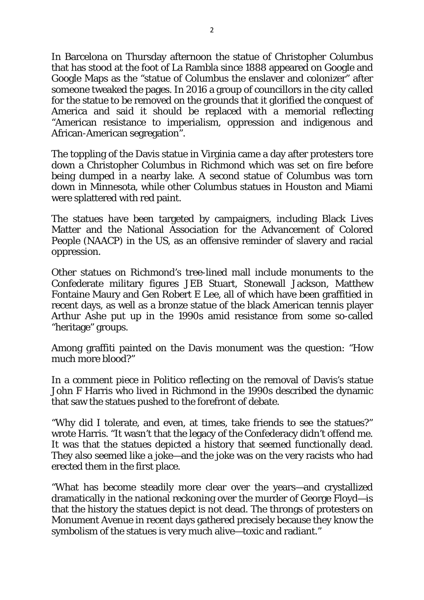In Barcelona on Thursday afternoon the statue of Christopher Columbus that has stood at the foot of La Rambla since 1888 appeared on Google and Google Maps as the "statue of Columbus the enslaver and colonizer" after someone tweaked the pages. In 2016 a group of councillors in the city called for the statue to be removed on the grounds that it glorified the conquest of America and said it should be replaced with a memorial reflecting "American resistance to imperialism, oppression and indigenous and African-American segregation".

The toppling of the Davis statue in Virginia came a day after protesters tore down a Christopher Columbus in Richmond which was set on fire before being dumped in a nearby lake. A second statue of Columbus was torn down in Minnesota, while other Columbus statues in Houston and Miami were splattered with red paint.

The statues have been targeted by campaigners, including Black Lives Matter and the National Association for the Advancement of Colored People (NAACP) in the US, as an offensive reminder of slavery and racial oppression.

Other statues on Richmond's tree-lined mall include monuments to the Confederate military figures JEB Stuart, Stonewall Jackson, Matthew Fontaine Maury and Gen Robert E Lee, all of which have been graffitied in recent days, as well as a bronze statue of the black American tennis player Arthur Ashe put up in the 1990s amid resistance from some so-called "heritage" groups.

Among graffiti painted on the Davis monument was the question: "How much more blood?"

In a comment piece in Politico reflecting on the removal of Davis's statue John F Harris who lived in Richmond in the 1990s described the dynamic that saw the statues pushed to the forefront of debate.

"Why did I tolerate, and even, at times, take friends to see the statues?" wrote Harris. "It wasn't that the legacy of the Confederacy didn't offend me. It was that the statues depicted a history that seemed functionally dead. They also seemed like a joke—and the joke was on the very racists who had erected them in the first place.

"What has become steadily more clear over the years—and crystallized dramatically in the national reckoning over the murder of George Floyd—is that the history the statues depict is not dead. The throngs of protesters on Monument Avenue in recent days gathered precisely because they know the symbolism of the statues is very much alive—toxic and radiant."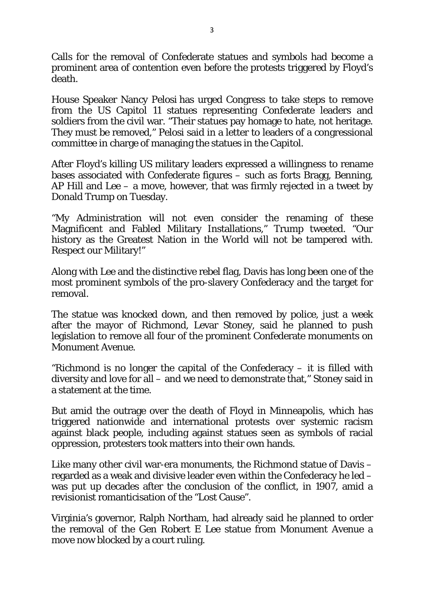Calls for the removal of Confederate statues and symbols had become a prominent area of contention even before the protests triggered by Floyd's death.

House Speaker Nancy Pelosi has urged Congress to take steps to remove from the US Capitol 11 statues representing Confederate leaders and soldiers from the civil war. "Their statues pay homage to hate, not heritage. They must be removed," Pelosi said in a letter to leaders of a congressional committee in charge of managing the statues in the Capitol.

After Floyd's killing US military leaders expressed a willingness to rename bases associated with Confederate figures – such as forts Bragg, Benning, AP Hill and Lee – a move, however, that was firmly rejected in a tweet by Donald Trump on Tuesday.

"My Administration will not even consider the renaming of these Magnificent and Fabled Military Installations," Trump tweeted. "Our history as the Greatest Nation in the World will not be tampered with. Respect our Military!"

Along with Lee and the distinctive rebel flag, Davis has long been one of the most prominent symbols of the pro-slavery Confederacy and the target for removal.

The statue was knocked down, and then removed by police, just a week after the mayor of Richmond, Levar Stoney, said he planned to push legislation to remove all four of the prominent Confederate monuments on Monument Avenue.

"Richmond is no longer the capital of the Confederacy – it is filled with diversity and love for all – and we need to demonstrate that," Stoney said in a statement at the time.

But amid the outrage over the death of Floyd in Minneapolis, which has triggered nationwide and international protests over systemic racism against black people, including against statues seen as symbols of racial oppression, protesters took matters into their own hands.

Like many other civil war-era monuments, the Richmond statue of Davis – regarded as a weak and divisive leader even within the Confederacy he led – was put up decades after the conclusion of the conflict, in 1907, amid a revisionist romanticisation of the "Lost Cause".

Virginia's governor, Ralph Northam, had already said he planned to order the removal of the Gen Robert E Lee statue from Monument Avenue a move now blocked by a court ruling.